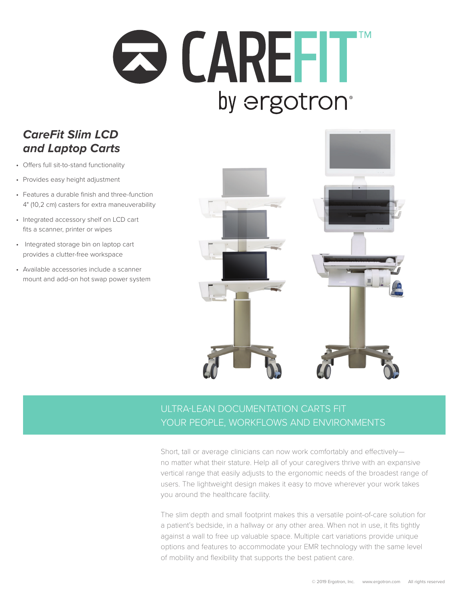# **Q CAREFIT** by ergotron<sup>®</sup>

### *CareFit Slim LCD and Laptop Carts*

- Offers full sit-to-stand functionality
- Provides easy height adjustment
- Features a durable finish and three-function 4" (10,2 cm) casters for extra maneuverability
- Integrated accessory shelf on LCD cart fits a scanner, printer or wipes
- Integrated storage bin on laptop cart provides a clutter-free workspace
- Available accessories include a scanner mount and add-on hot swap power system



#### ULTRA-LEAN DOCUMENTATION CARTS FIT YOUR PEOPLE, WORKFLOWS AND ENVIRONMENTS

Short, tall or average clinicians can now work comfortably and effectively no matter what their stature. Help all of your caregivers thrive with an expansive vertical range that easily adjusts to the ergonomic needs of the broadest range of users. The lightweight design makes it easy to move wherever your work takes you around the healthcare facility.

The slim depth and small footprint makes this a versatile point-of-care solution for a patient's bedside, in a hallway or any other area. When not in use, it fits tightly against a wall to free up valuable space. Multiple cart variations provide unique options and features to accommodate your EMR technology with the same level of mobility and flexibility that supports the best patient care.